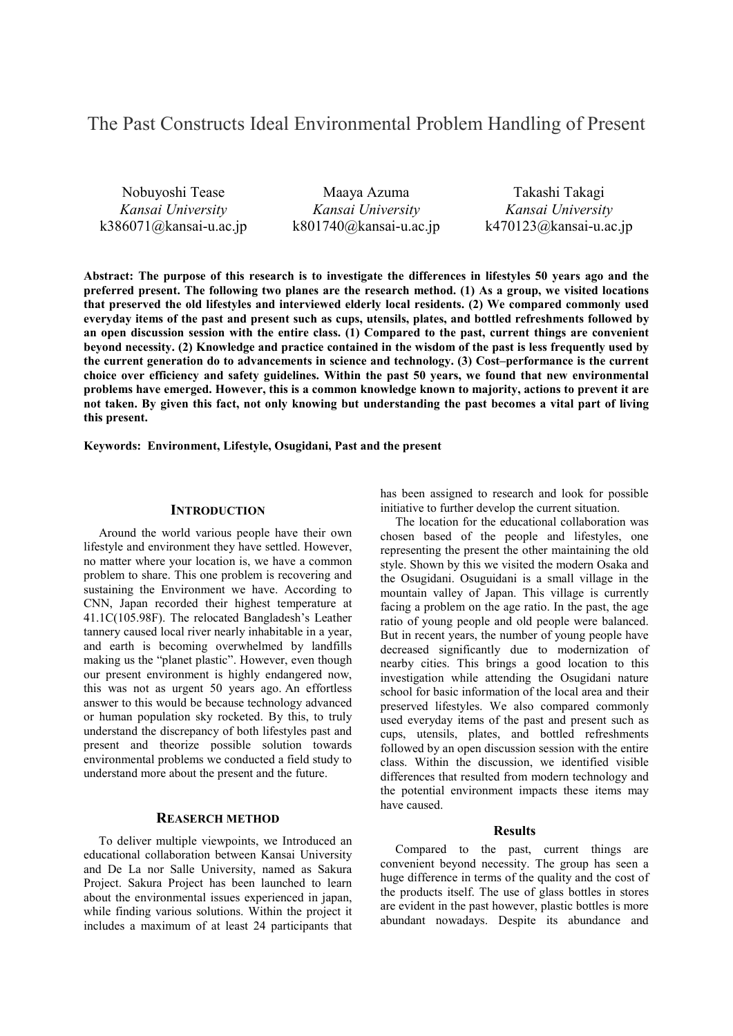# The Past Constructs Ideal Environmental Problem Handling of Present

Nobuyoshi Tease *Kansai University* k386071@kansai-u.ac.jp

Maaya Azuma *Kansai University* k801740@kansai-u.ac.jp

Takashi Takagi *Kansai University* k470123@kansai-u.ac.jp

**Abstract: The purpose of this research is to investigate the differences in lifestyles 50 years ago and the preferred present. The following two planes are the research method. (1) As a group, we visited locations that preserved the old lifestyles and interviewed elderly local residents. (2) We compared commonly used everyday items of the past and present such as cups, utensils, plates, and bottled refreshments followed by an open discussion session with the entire class. (1) Compared to the past, current things are convenient beyond necessity. (2) Knowledge and practice contained in the wisdom of the past is less frequently used by the current generation do to advancements in science and technology. (3) Cost–performance is the current choice over efficiency and safety guidelines. Within the past 50 years, we found that new environmental problems have emerged. However, this is a common knowledge known to majority, actions to prevent it are not taken. By given this fact, not only knowing but understanding the past becomes a vital part of living this present.** 

**Keywords: Environment, Lifestyle, Osugidani, Past and the present** 

## **INTRODUCTION**

Around the world various people have their own lifestyle and environment they have settled. However, no matter where your location is, we have a common problem to share. This one problem is recovering and sustaining the Environment we have. According to CNN, Japan recorded their highest temperature at 41.1C(105.98F). The relocated Bangladesh's Leather tannery caused local river nearly inhabitable in a year, and earth is becoming overwhelmed by landfills making us the "planet plastic". However, even though our present environment is highly endangered now, this was not as urgent 50 years ago. An effortless answer to this would be because technology advanced or human population sky rocketed. By this, to truly understand the discrepancy of both lifestyles past and present and theorize possible solution towards environmental problems we conducted a field study to understand more about the present and the future.

# **REASERCH METHOD**

To deliver multiple viewpoints, we Introduced an educational collaboration between Kansai University and De La nor Salle University, named as Sakura Project. Sakura Project has been launched to learn about the environmental issues experienced in japan, while finding various solutions. Within the project it includes a maximum of at least 24 participants that

has been assigned to research and look for possible initiative to further develop the current situation.

The location for the educational collaboration was chosen based of the people and lifestyles, one representing the present the other maintaining the old style. Shown by this we visited the modern Osaka and the Osugidani. Osuguidani is a small village in the mountain valley of Japan. This village is currently facing a problem on the age ratio. In the past, the age ratio of young people and old people were balanced. But in recent years, the number of young people have decreased significantly due to modernization of nearby cities. This brings a good location to this investigation while attending the Osugidani nature school for basic information of the local area and their preserved lifestyles. We also compared commonly used everyday items of the past and present such as cups, utensils, plates, and bottled refreshments followed by an open discussion session with the entire class. Within the discussion, we identified visible differences that resulted from modern technology and the potential environment impacts these items may have caused.

#### **Results**

Compared to the past, current things are convenient beyond necessity. The group has seen a huge difference in terms of the quality and the cost of the products itself. The use of glass bottles in stores are evident in the past however, plastic bottles is more abundant nowadays. Despite its abundance and